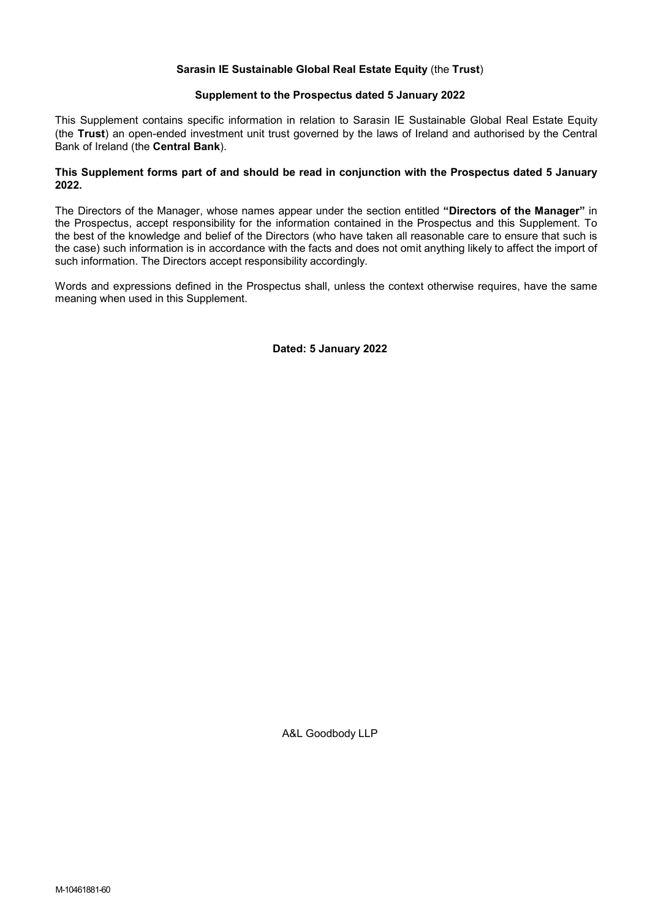## Sarasin IE Sustainable Global Real Estate Equity (the Trust)

#### Supplement to the Prospectus dated 5 January 2022

This Supplement contains specific information in relation to Sarasin IE Sustainable Global Real Estate Equity (the Trust) an open-ended investment unit trust governed by the laws of Ireland and authorised by the Central Bank of Ireland (the Central Bank).

### This Supplement forms part of and should be read in conjunction with the Prospectus dated 5 January 2022.

The Directors of the Manager, whose names appear under the section entitled "Directors of the Manager" in the Prospectus, accept responsibility for the information contained in the Prospectus and this Supplement. To the best of the knowledge and belief of the Directors (who have taken all reasonable care to ensure that such is the case) such information is in accordance with the facts and does not omit anything likely to affect the import of such information. The Directors accept responsibility accordingly.

Words and expressions defined in the Prospectus shall, unless the context otherwise requires, have the same meaning when used in this Supplement.

Dated: 5 January 2022

A&L Goodbody LLP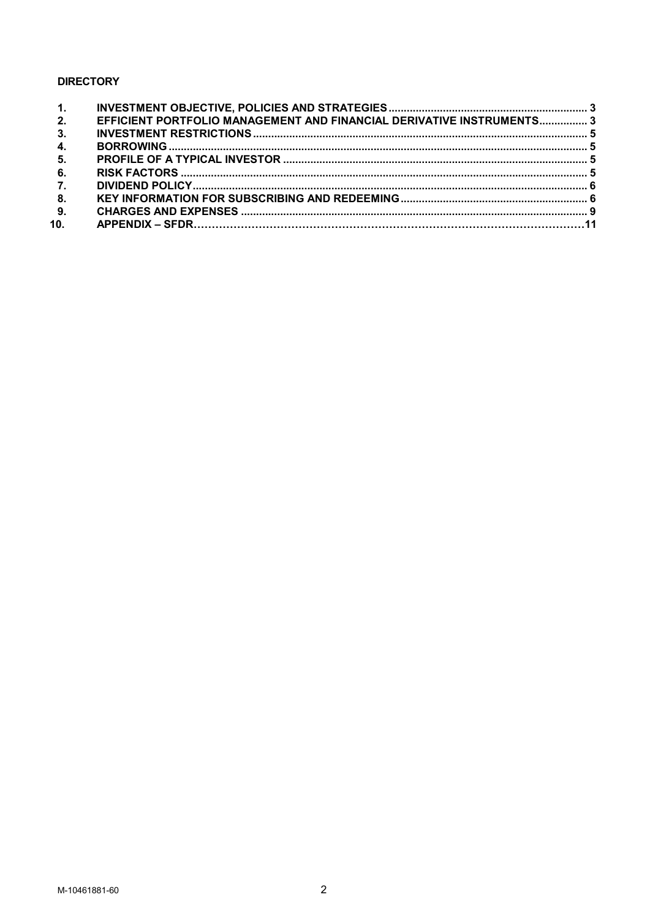# **DIRECTORY**

| $\overline{\mathbf{2}}$ . | EFFICIENT PORTFOLIO MANAGEMENT AND FINANCIAL DERIVATIVE INSTRUMENTS 3 |  |
|---------------------------|-----------------------------------------------------------------------|--|
| 3.                        |                                                                       |  |
| 4.                        |                                                                       |  |
| 5.                        |                                                                       |  |
| -6.                       |                                                                       |  |
| $\overline{7}$ .          |                                                                       |  |
| 8 <sub>1</sub>            |                                                                       |  |
| 9.                        |                                                                       |  |
| 10.                       |                                                                       |  |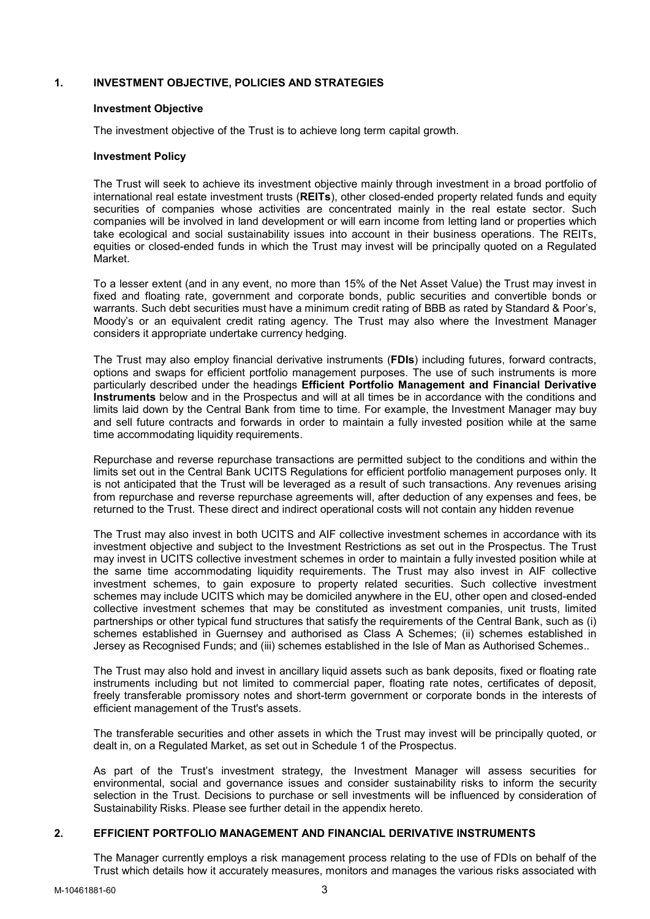## 1. INVESTMENT OBJECTIVE, POLICIES AND STRATEGIES

### Investment Objective

The investment objective of the Trust is to achieve long term capital growth.

### Investment Policy

The Trust will seek to achieve its investment objective mainly through investment in a broad portfolio of international real estate investment trusts (REITs), other closed-ended property related funds and equity securities of companies whose activities are concentrated mainly in the real estate sector. Such companies will be involved in land development or will earn income from letting land or properties which take ecological and social sustainability issues into account in their business operations. The REITs, equities or closed-ended funds in which the Trust may invest will be principally quoted on a Regulated Market.

To a lesser extent (and in any event, no more than 15% of the Net Asset Value) the Trust may invest in fixed and floating rate, government and corporate bonds, public securities and convertible bonds or warrants. Such debt securities must have a minimum credit rating of BBB as rated by Standard & Poor's, Moody's or an equivalent credit rating agency. The Trust may also where the Investment Manager considers it appropriate undertake currency hedging.

The Trust may also employ financial derivative instruments (FDIs) including futures, forward contracts, options and swaps for efficient portfolio management purposes. The use of such instruments is more particularly described under the headings Efficient Portfolio Management and Financial Derivative Instruments below and in the Prospectus and will at all times be in accordance with the conditions and limits laid down by the Central Bank from time to time. For example, the Investment Manager may buy and sell future contracts and forwards in order to maintain a fully invested position while at the same time accommodating liquidity requirements.

Repurchase and reverse repurchase transactions are permitted subject to the conditions and within the limits set out in the Central Bank UCITS Regulations for efficient portfolio management purposes only. It is not anticipated that the Trust will be leveraged as a result of such transactions. Any revenues arising from repurchase and reverse repurchase agreements will, after deduction of any expenses and fees, be returned to the Trust. These direct and indirect operational costs will not contain any hidden revenue

The Trust may also invest in both UCITS and AIF collective investment schemes in accordance with its investment objective and subject to the Investment Restrictions as set out in the Prospectus. The Trust may invest in UCITS collective investment schemes in order to maintain a fully invested position while at the same time accommodating liquidity requirements. The Trust may also invest in AIF collective investment schemes, to gain exposure to property related securities. Such collective investment schemes may include UCITS which may be domiciled anywhere in the EU, other open and closed-ended collective investment schemes that may be constituted as investment companies, unit trusts, limited partnerships or other typical fund structures that satisfy the requirements of the Central Bank, such as (i) schemes established in Guernsey and authorised as Class A Schemes; (ii) schemes established in Jersey as Recognised Funds; and (iii) schemes established in the Isle of Man as Authorised Schemes..

The Trust may also hold and invest in ancillary liquid assets such as bank deposits, fixed or floating rate instruments including but not limited to commercial paper, floating rate notes, certificates of deposit, freely transferable promissory notes and short-term government or corporate bonds in the interests of efficient management of the Trust's assets.

The transferable securities and other assets in which the Trust may invest will be principally quoted, or dealt in, on a Regulated Market, as set out in Schedule 1 of the Prospectus.

As part of the Trust's investment strategy, the Investment Manager will assess securities for environmental, social and governance issues and consider sustainability risks to inform the security selection in the Trust. Decisions to purchase or sell investments will be influenced by consideration of Sustainability Risks. Please see further detail in the appendix hereto.

## 2. EFFICIENT PORTFOLIO MANAGEMENT AND FINANCIAL DERIVATIVE INSTRUMENTS

The Manager currently employs a risk management process relating to the use of FDIs on behalf of the Trust which details how it accurately measures, monitors and manages the various risks associated with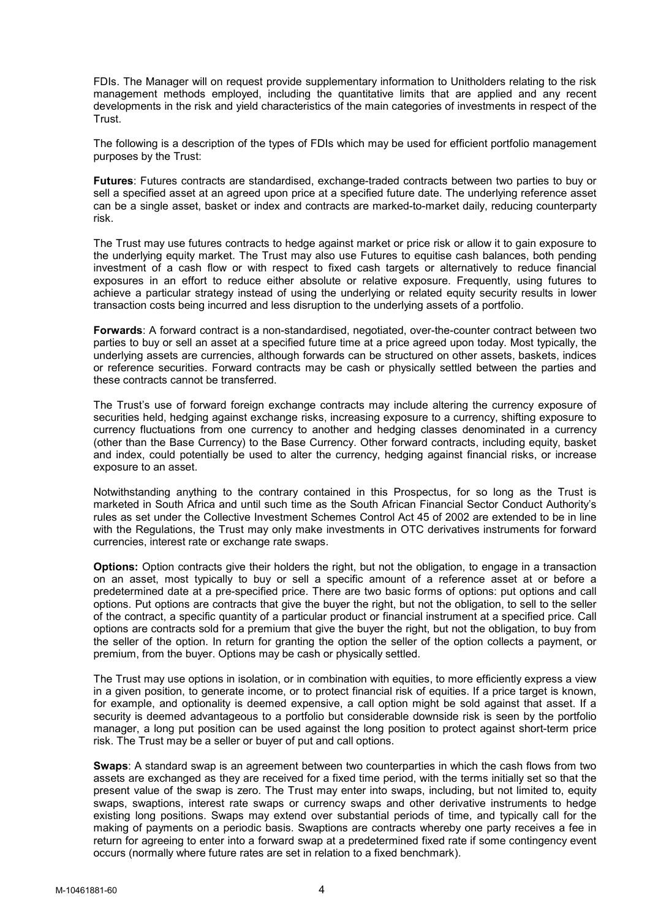FDIs. The Manager will on request provide supplementary information to Unitholders relating to the risk management methods employed, including the quantitative limits that are applied and any recent developments in the risk and yield characteristics of the main categories of investments in respect of the Trust.

The following is a description of the types of FDIs which may be used for efficient portfolio management purposes by the Trust:

Futures: Futures contracts are standardised, exchange-traded contracts between two parties to buy or sell a specified asset at an agreed upon price at a specified future date. The underlying reference asset can be a single asset, basket or index and contracts are marked-to-market daily, reducing counterparty risk.

The Trust may use futures contracts to hedge against market or price risk or allow it to gain exposure to the underlying equity market. The Trust may also use Futures to equitise cash balances, both pending investment of a cash flow or with respect to fixed cash targets or alternatively to reduce financial exposures in an effort to reduce either absolute or relative exposure. Frequently, using futures to achieve a particular strategy instead of using the underlying or related equity security results in lower transaction costs being incurred and less disruption to the underlying assets of a portfolio.

Forwards: A forward contract is a non-standardised, negotiated, over-the-counter contract between two parties to buy or sell an asset at a specified future time at a price agreed upon today. Most typically, the underlying assets are currencies, although forwards can be structured on other assets, baskets, indices or reference securities. Forward contracts may be cash or physically settled between the parties and these contracts cannot be transferred.

The Trust's use of forward foreign exchange contracts may include altering the currency exposure of securities held, hedging against exchange risks, increasing exposure to a currency, shifting exposure to currency fluctuations from one currency to another and hedging classes denominated in a currency (other than the Base Currency) to the Base Currency. Other forward contracts, including equity, basket and index, could potentially be used to alter the currency, hedging against financial risks, or increase exposure to an asset.

Notwithstanding anything to the contrary contained in this Prospectus, for so long as the Trust is marketed in South Africa and until such time as the South African Financial Sector Conduct Authority's rules as set under the Collective Investment Schemes Control Act 45 of 2002 are extended to be in line with the Regulations, the Trust may only make investments in OTC derivatives instruments for forward currencies, interest rate or exchange rate swaps.

Options: Option contracts give their holders the right, but not the obligation, to engage in a transaction on an asset, most typically to buy or sell a specific amount of a reference asset at or before a predetermined date at a pre-specified price. There are two basic forms of options: put options and call options. Put options are contracts that give the buyer the right, but not the obligation, to sell to the seller of the contract, a specific quantity of a particular product or financial instrument at a specified price. Call options are contracts sold for a premium that give the buyer the right, but not the obligation, to buy from the seller of the option. In return for granting the option the seller of the option collects a payment, or premium, from the buyer. Options may be cash or physically settled.

The Trust may use options in isolation, or in combination with equities, to more efficiently express a view in a given position, to generate income, or to protect financial risk of equities. If a price target is known, for example, and optionality is deemed expensive, a call option might be sold against that asset. If a security is deemed advantageous to a portfolio but considerable downside risk is seen by the portfolio manager, a long put position can be used against the long position to protect against short-term price risk. The Trust may be a seller or buyer of put and call options.

Swaps: A standard swap is an agreement between two counterparties in which the cash flows from two assets are exchanged as they are received for a fixed time period, with the terms initially set so that the present value of the swap is zero. The Trust may enter into swaps, including, but not limited to, equity swaps, swaptions, interest rate swaps or currency swaps and other derivative instruments to hedge existing long positions. Swaps may extend over substantial periods of time, and typically call for the making of payments on a periodic basis. Swaptions are contracts whereby one party receives a fee in return for agreeing to enter into a forward swap at a predetermined fixed rate if some contingency event occurs (normally where future rates are set in relation to a fixed benchmark).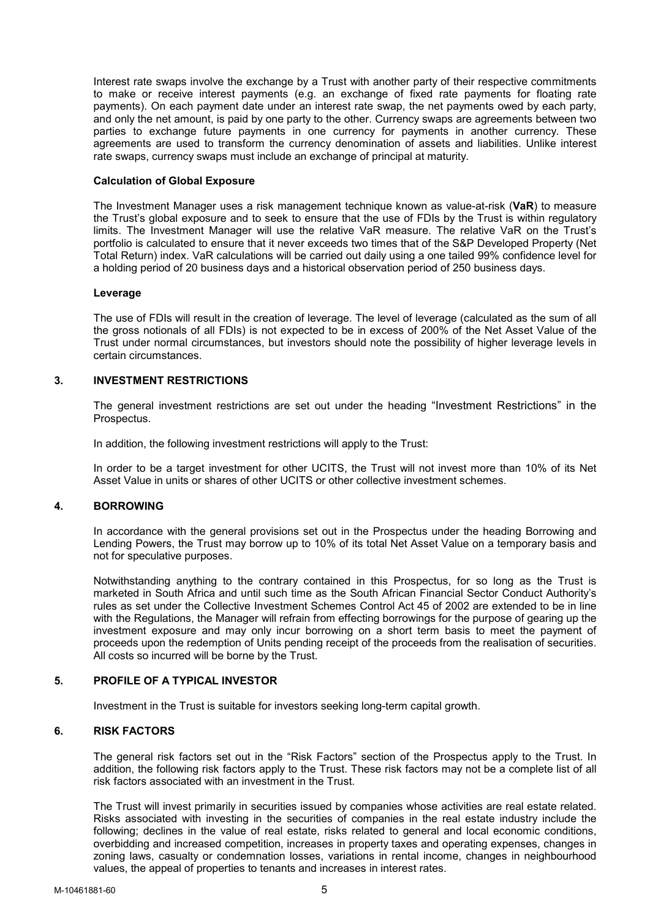Interest rate swaps involve the exchange by a Trust with another party of their respective commitments to make or receive interest payments (e.g. an exchange of fixed rate payments for floating rate payments). On each payment date under an interest rate swap, the net payments owed by each party, and only the net amount, is paid by one party to the other. Currency swaps are agreements between two parties to exchange future payments in one currency for payments in another currency. These agreements are used to transform the currency denomination of assets and liabilities. Unlike interest rate swaps, currency swaps must include an exchange of principal at maturity.

### Calculation of Global Exposure

The Investment Manager uses a risk management technique known as value-at-risk (VaR) to measure the Trust's global exposure and to seek to ensure that the use of FDIs by the Trust is within regulatory limits. The Investment Manager will use the relative VaR measure. The relative VaR on the Trust's portfolio is calculated to ensure that it never exceeds two times that of the S&P Developed Property (Net Total Return) index. VaR calculations will be carried out daily using a one tailed 99% confidence level for a holding period of 20 business days and a historical observation period of 250 business days.

### Leverage

The use of FDIs will result in the creation of leverage. The level of leverage (calculated as the sum of all the gross notionals of all FDIs) is not expected to be in excess of 200% of the Net Asset Value of the Trust under normal circumstances, but investors should note the possibility of higher leverage levels in certain circumstances.

## 3. INVESTMENT RESTRICTIONS

The general investment restrictions are set out under the heading "Investment Restrictions" in the Prospectus.

In addition, the following investment restrictions will apply to the Trust:

In order to be a target investment for other UCITS, the Trust will not invest more than 10% of its Net Asset Value in units or shares of other UCITS or other collective investment schemes.

### 4. BORROWING

In accordance with the general provisions set out in the Prospectus under the heading Borrowing and Lending Powers, the Trust may borrow up to 10% of its total Net Asset Value on a temporary basis and not for speculative purposes.

Notwithstanding anything to the contrary contained in this Prospectus, for so long as the Trust is marketed in South Africa and until such time as the South African Financial Sector Conduct Authority's rules as set under the Collective Investment Schemes Control Act 45 of 2002 are extended to be in line with the Regulations, the Manager will refrain from effecting borrowings for the purpose of gearing up the investment exposure and may only incur borrowing on a short term basis to meet the payment of proceeds upon the redemption of Units pending receipt of the proceeds from the realisation of securities. All costs so incurred will be borne by the Trust.

## 5. PROFILE OF A TYPICAL INVESTOR

Investment in the Trust is suitable for investors seeking long-term capital growth.

### 6. RISK FACTORS

The general risk factors set out in the "Risk Factors" section of the Prospectus apply to the Trust. In addition, the following risk factors apply to the Trust. These risk factors may not be a complete list of all risk factors associated with an investment in the Trust.

The Trust will invest primarily in securities issued by companies whose activities are real estate related. Risks associated with investing in the securities of companies in the real estate industry include the following; declines in the value of real estate, risks related to general and local economic conditions, overbidding and increased competition, increases in property taxes and operating expenses, changes in zoning laws, casualty or condemnation losses, variations in rental income, changes in neighbourhood values, the appeal of properties to tenants and increases in interest rates.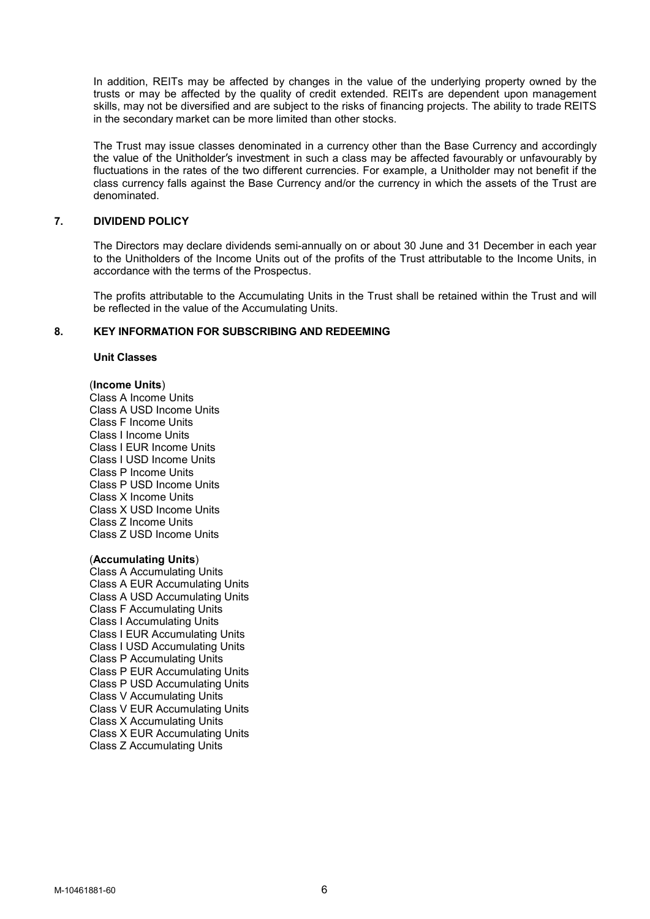In addition, REITs may be affected by changes in the value of the underlying property owned by the trusts or may be affected by the quality of credit extended. REITs are dependent upon management skills, may not be diversified and are subject to the risks of financing projects. The ability to trade REITS in the secondary market can be more limited than other stocks.

The Trust may issue classes denominated in a currency other than the Base Currency and accordingly the value of the Unitholder's investment in such a class may be affected favourably or unfavourably by fluctuations in the rates of the two different currencies. For example, a Unitholder may not benefit if the class currency falls against the Base Currency and/or the currency in which the assets of the Trust are denominated.

### 7. DIVIDEND POLICY

The Directors may declare dividends semi-annually on or about 30 June and 31 December in each year to the Unitholders of the Income Units out of the profits of the Trust attributable to the Income Units, in accordance with the terms of the Prospectus.

The profits attributable to the Accumulating Units in the Trust shall be retained within the Trust and will be reflected in the value of the Accumulating Units.

### 8. KEY INFORMATION FOR SUBSCRIBING AND REDEEMING

### Unit Classes

### (Income Units)

Class A Income Units Class A USD Income Units Class F Income Units Class I Income Units Class I EUR Income Units Class I USD Income Units Class P Income Units Class P USD Income Units Class X Income Units Class X USD Income Units Class Z Income Units Class Z USD Income Units

#### (Accumulating Units)

Class A Accumulating Units Class A EUR Accumulating Units Class A USD Accumulating Units Class F Accumulating Units Class I Accumulating Units Class I EUR Accumulating Units Class I USD Accumulating Units Class P Accumulating Units Class P EUR Accumulating Units Class P USD Accumulating Units Class V Accumulating Units Class V EUR Accumulating Units Class X Accumulating Units Class X EUR Accumulating Units Class Z Accumulating Units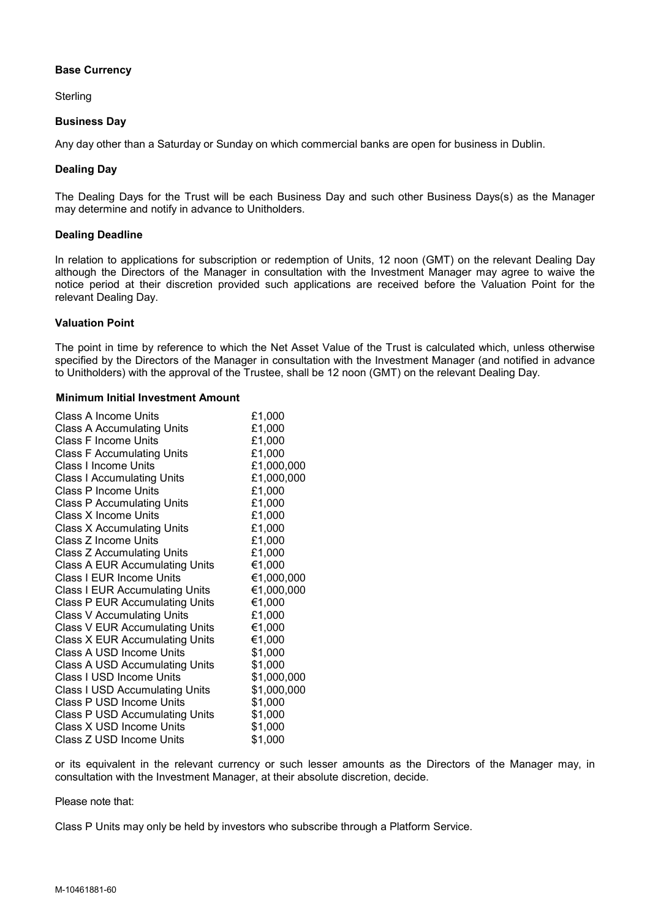## Base Currency

**Sterling** 

### Business Day

Any day other than a Saturday or Sunday on which commercial banks are open for business in Dublin.

### Dealing Day

The Dealing Days for the Trust will be each Business Day and such other Business Days(s) as the Manager may determine and notify in advance to Unitholders.

### Dealing Deadline

In relation to applications for subscription or redemption of Units, 12 noon (GMT) on the relevant Dealing Day although the Directors of the Manager in consultation with the Investment Manager may agree to waive the notice period at their discretion provided such applications are received before the Valuation Point for the relevant Dealing Day.

### Valuation Point

The point in time by reference to which the Net Asset Value of the Trust is calculated which, unless otherwise specified by the Directors of the Manager in consultation with the Investment Manager (and notified in advance to Unitholders) with the approval of the Trustee, shall be 12 noon (GMT) on the relevant Dealing Day.

### Minimum Initial Investment Amount

| Class A Income Units                  | £1,000      |
|---------------------------------------|-------------|
| <b>Class A Accumulating Units</b>     | £1,000      |
| Class F Income Units                  | £1,000      |
| <b>Class F Accumulating Units</b>     | £1,000      |
| Class I Income Units                  | £1,000,000  |
| <b>Class I Accumulating Units</b>     | £1,000,000  |
| Class P Income Units                  | £1,000      |
| <b>Class P Accumulating Units</b>     | £1,000      |
| Class X Income Units                  | £1,000      |
| Class X Accumulating Units            | £1,000      |
| Class Z Income Units                  | £1,000      |
| Class Z Accumulating Units            | £1,000      |
| <b>Class A EUR Accumulating Units</b> | €1,000      |
| Class I EUR Income Units              | €1,000,000  |
| <b>Class I EUR Accumulating Units</b> | €1,000,000  |
| <b>Class P EUR Accumulating Units</b> | €1,000      |
| <b>Class V Accumulating Units</b>     | £1,000      |
| <b>Class V EUR Accumulating Units</b> | €1,000      |
| <b>Class X EUR Accumulating Units</b> | €1,000      |
| Class A USD Income Units              | \$1,000     |
| Class A USD Accumulating Units        | \$1,000     |
| Class I USD Income Units              | \$1,000,000 |
| <b>Class I USD Accumulating Units</b> | \$1,000,000 |
| Class P USD Income Units              | \$1,000     |
| <b>Class P USD Accumulating Units</b> | \$1,000     |
| Class X USD Income Units              | \$1,000     |
| Class Z USD Income Units              | \$1,000     |

or its equivalent in the relevant currency or such lesser amounts as the Directors of the Manager may, in consultation with the Investment Manager, at their absolute discretion, decide.

### Please note that:

Class P Units may only be held by investors who subscribe through a Platform Service.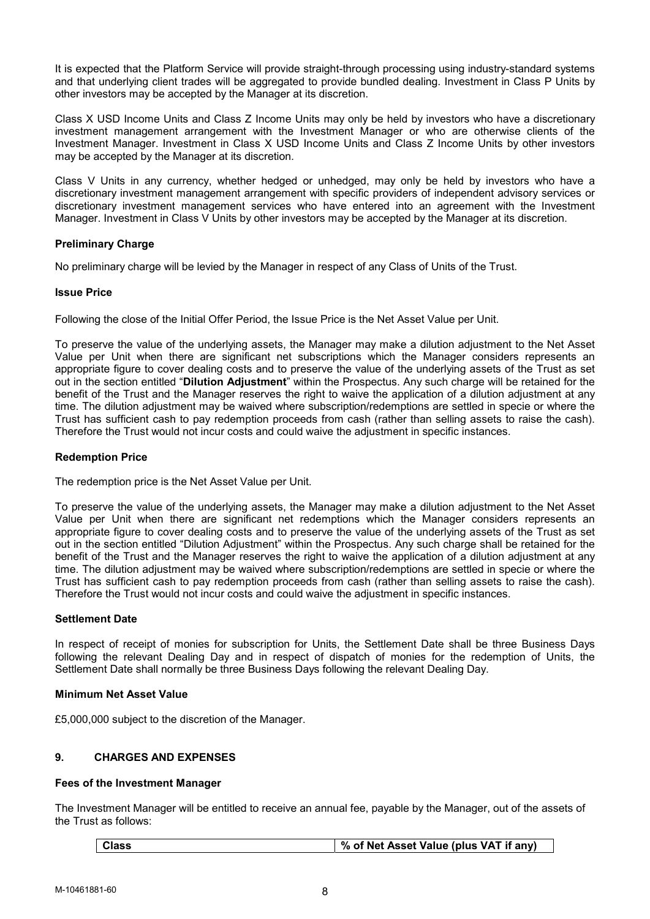It is expected that the Platform Service will provide straight-through processing using industry-standard systems and that underlying client trades will be aggregated to provide bundled dealing. Investment in Class P Units by other investors may be accepted by the Manager at its discretion.

Class X USD Income Units and Class Z Income Units may only be held by investors who have a discretionary investment management arrangement with the Investment Manager or who are otherwise clients of the Investment Manager. Investment in Class X USD Income Units and Class Z Income Units by other investors may be accepted by the Manager at its discretion.

Class V Units in any currency, whether hedged or unhedged, may only be held by investors who have a discretionary investment management arrangement with specific providers of independent advisory services or discretionary investment management services who have entered into an agreement with the Investment Manager. Investment in Class V Units by other investors may be accepted by the Manager at its discretion.

## Preliminary Charge

No preliminary charge will be levied by the Manager in respect of any Class of Units of the Trust.

### Issue Price

Following the close of the Initial Offer Period, the Issue Price is the Net Asset Value per Unit.

To preserve the value of the underlying assets, the Manager may make a dilution adjustment to the Net Asset Value per Unit when there are significant net subscriptions which the Manager considers represents an appropriate figure to cover dealing costs and to preserve the value of the underlying assets of the Trust as set out in the section entitled "Dilution Adjustment" within the Prospectus. Any such charge will be retained for the benefit of the Trust and the Manager reserves the right to waive the application of a dilution adjustment at any time. The dilution adjustment may be waived where subscription/redemptions are settled in specie or where the Trust has sufficient cash to pay redemption proceeds from cash (rather than selling assets to raise the cash). Therefore the Trust would not incur costs and could waive the adjustment in specific instances.

### Redemption Price

The redemption price is the Net Asset Value per Unit.

To preserve the value of the underlying assets, the Manager may make a dilution adjustment to the Net Asset Value per Unit when there are significant net redemptions which the Manager considers represents an appropriate figure to cover dealing costs and to preserve the value of the underlying assets of the Trust as set out in the section entitled "Dilution Adjustment" within the Prospectus. Any such charge shall be retained for the benefit of the Trust and the Manager reserves the right to waive the application of a dilution adjustment at any time. The dilution adjustment may be waived where subscription/redemptions are settled in specie or where the Trust has sufficient cash to pay redemption proceeds from cash (rather than selling assets to raise the cash). Therefore the Trust would not incur costs and could waive the adjustment in specific instances.

### Settlement Date

In respect of receipt of monies for subscription for Units, the Settlement Date shall be three Business Days following the relevant Dealing Day and in respect of dispatch of monies for the redemption of Units, the Settlement Date shall normally be three Business Days following the relevant Dealing Day.

### Minimum Net Asset Value

£5,000,000 subject to the discretion of the Manager.

## 9. CHARGES AND EXPENSES

### Fees of the Investment Manager

The Investment Manager will be entitled to receive an annual fee, payable by the Manager, out of the assets of the Trust as follows:

|  | Class | % of Net Asset Value (plus VAT if any) |
|--|-------|----------------------------------------|
|--|-------|----------------------------------------|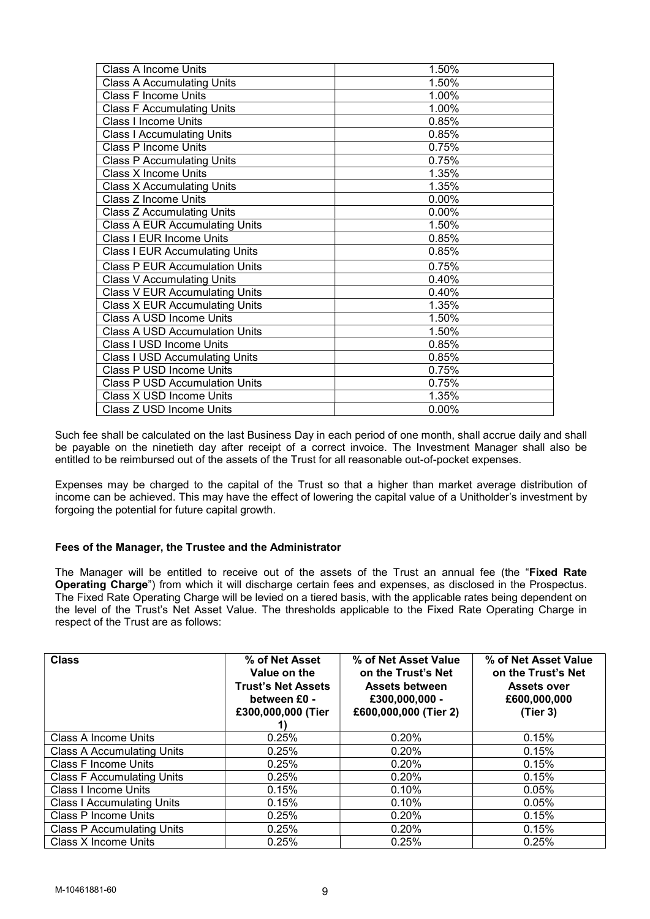| <b>Class A Income Units</b>           | 1.50% |  |  |
|---------------------------------------|-------|--|--|
| <b>Class A Accumulating Units</b>     | 1.50% |  |  |
| <b>Class F Income Units</b>           | 1.00% |  |  |
| <b>Class F Accumulating Units</b>     | 1.00% |  |  |
| <b>Class I Income Units</b>           | 0.85% |  |  |
| <b>Class I Accumulating Units</b>     | 0.85% |  |  |
| <b>Class P Income Units</b>           | 0.75% |  |  |
| <b>Class P Accumulating Units</b>     | 0.75% |  |  |
| <b>Class X Income Units</b>           | 1.35% |  |  |
| <b>Class X Accumulating Units</b>     | 1.35% |  |  |
| Class Z Income Units                  | 0.00% |  |  |
| <b>Class Z Accumulating Units</b>     | 0.00% |  |  |
| <b>Class A EUR Accumulating Units</b> | 1.50% |  |  |
| Class I EUR Income Units              | 0.85% |  |  |
| <b>Class I EUR Accumulating Units</b> | 0.85% |  |  |
| <b>Class P EUR Accumulation Units</b> | 0.75% |  |  |
| <b>Class V Accumulating Units</b>     | 0.40% |  |  |
| <b>Class V EUR Accumulating Units</b> | 0.40% |  |  |
| <b>Class X EUR Accumulating Units</b> | 1.35% |  |  |
| Class A USD Income Units              | 1.50% |  |  |
| Class A USD Accumulation Units        | 1.50% |  |  |
| Class I USD Income Units              | 0.85% |  |  |
| <b>Class I USD Accumulating Units</b> | 0.85% |  |  |
| Class P USD Income Units              | 0.75% |  |  |
| <b>Class P USD Accumulation Units</b> | 0.75% |  |  |
| Class X USD Income Units              | 1.35% |  |  |
| Class Z USD Income Units              | 0.00% |  |  |

Such fee shall be calculated on the last Business Day in each period of one month, shall accrue daily and shall be payable on the ninetieth day after receipt of a correct invoice. The Investment Manager shall also be entitled to be reimbursed out of the assets of the Trust for all reasonable out-of-pocket expenses.

Expenses may be charged to the capital of the Trust so that a higher than market average distribution of income can be achieved. This may have the effect of lowering the capital value of a Unitholder's investment by forgoing the potential for future capital growth.

## Fees of the Manager, the Trustee and the Administrator

The Manager will be entitled to receive out of the assets of the Trust an annual fee (the "Fixed Rate Operating Charge") from which it will discharge certain fees and expenses, as disclosed in the Prospectus. The Fixed Rate Operating Charge will be levied on a tiered basis, with the applicable rates being dependent on the level of the Trust's Net Asset Value. The thresholds applicable to the Fixed Rate Operating Charge in respect of the Trust are as follows:

| <b>Class</b>                      | % of Net Asset<br>Value on the<br><b>Trust's Net Assets</b><br>between £0 -<br>£300,000,000 (Tier | % of Net Asset Value<br>on the Trust's Net<br><b>Assets between</b><br>£300,000,000 -<br>£600,000,000 (Tier 2) | % of Net Asset Value<br>on the Trust's Net<br><b>Assets over</b><br>£600,000,000<br>(Tier 3) |
|-----------------------------------|---------------------------------------------------------------------------------------------------|----------------------------------------------------------------------------------------------------------------|----------------------------------------------------------------------------------------------|
| Class A Income Units              | 0.25%                                                                                             | 0.20%                                                                                                          | 0.15%                                                                                        |
| <b>Class A Accumulating Units</b> | 0.25%                                                                                             | 0.20%                                                                                                          | 0.15%                                                                                        |
| <b>Class F Income Units</b>       | 0.25%                                                                                             | 0.20%                                                                                                          | 0.15%                                                                                        |
| <b>Class F Accumulating Units</b> | 0.25%                                                                                             | 0.20%                                                                                                          | 0.15%                                                                                        |
| Class I Income Units              | 0.15%                                                                                             | 0.10%                                                                                                          | 0.05%                                                                                        |
| <b>Class I Accumulating Units</b> | 0.15%                                                                                             | 0.10%                                                                                                          | 0.05%                                                                                        |
| <b>Class P Income Units</b>       | 0.25%                                                                                             | 0.20%                                                                                                          | 0.15%                                                                                        |
| <b>Class P Accumulating Units</b> | 0.25%                                                                                             | 0.20%                                                                                                          | 0.15%                                                                                        |
| Class X Income Units              | 0.25%                                                                                             | 0.25%                                                                                                          | 0.25%                                                                                        |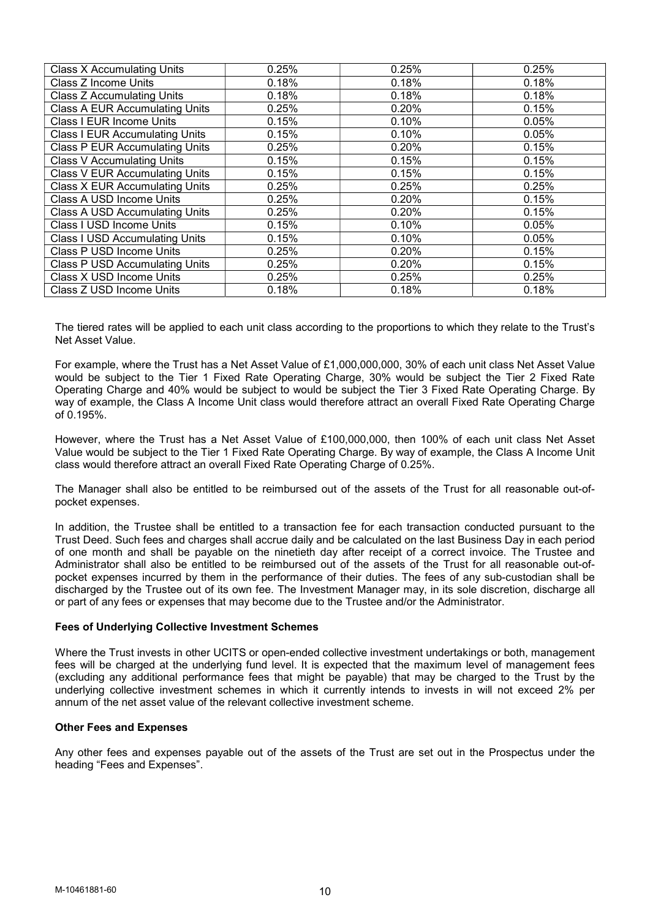| <b>Class X Accumulating Units</b>     | 0.25% | 0.25% | 0.25% |
|---------------------------------------|-------|-------|-------|
| Class Z Income Units                  | 0.18% | 0.18% | 0.18% |
| <b>Class Z Accumulating Units</b>     | 0.18% | 0.18% | 0.18% |
| <b>Class A EUR Accumulating Units</b> | 0.25% | 0.20% | 0.15% |
| Class I EUR Income Units              | 0.15% | 0.10% | 0.05% |
| <b>Class I EUR Accumulating Units</b> | 0.15% | 0.10% | 0.05% |
| <b>Class P EUR Accumulating Units</b> | 0.25% | 0.20% | 0.15% |
| <b>Class V Accumulating Units</b>     | 0.15% | 0.15% | 0.15% |
| <b>Class V EUR Accumulating Units</b> | 0.15% | 0.15% | 0.15% |
| <b>Class X EUR Accumulating Units</b> | 0.25% | 0.25% | 0.25% |
| Class A USD Income Units              | 0.25% | 0.20% | 0.15% |
| <b>Class A USD Accumulating Units</b> | 0.25% | 0.20% | 0.15% |
| Class I USD Income Units              | 0.15% | 0.10% | 0.05% |
| <b>Class I USD Accumulating Units</b> | 0.15% | 0.10% | 0.05% |
| Class P USD Income Units              | 0.25% | 0.20% | 0.15% |
| <b>Class P USD Accumulating Units</b> | 0.25% | 0.20% | 0.15% |
| Class X USD Income Units              | 0.25% | 0.25% | 0.25% |
| Class Z USD Income Units              | 0.18% | 0.18% | 0.18% |

The tiered rates will be applied to each unit class according to the proportions to which they relate to the Trust's Net Asset Value.

For example, where the Trust has a Net Asset Value of £1,000,000,000, 30% of each unit class Net Asset Value would be subject to the Tier 1 Fixed Rate Operating Charge, 30% would be subject the Tier 2 Fixed Rate Operating Charge and 40% would be subject to would be subject the Tier 3 Fixed Rate Operating Charge. By way of example, the Class A Income Unit class would therefore attract an overall Fixed Rate Operating Charge  $of 0.195%$ 

However, where the Trust has a Net Asset Value of £100,000,000, then 100% of each unit class Net Asset Value would be subject to the Tier 1 Fixed Rate Operating Charge. By way of example, the Class A Income Unit class would therefore attract an overall Fixed Rate Operating Charge of 0.25%.

The Manager shall also be entitled to be reimbursed out of the assets of the Trust for all reasonable out-ofpocket expenses.

In addition, the Trustee shall be entitled to a transaction fee for each transaction conducted pursuant to the Trust Deed. Such fees and charges shall accrue daily and be calculated on the last Business Day in each period of one month and shall be payable on the ninetieth day after receipt of a correct invoice. The Trustee and Administrator shall also be entitled to be reimbursed out of the assets of the Trust for all reasonable out-ofpocket expenses incurred by them in the performance of their duties. The fees of any sub-custodian shall be discharged by the Trustee out of its own fee. The Investment Manager may, in its sole discretion, discharge all or part of any fees or expenses that may become due to the Trustee and/or the Administrator.

## Fees of Underlying Collective Investment Schemes

Where the Trust invests in other UCITS or open-ended collective investment undertakings or both, management fees will be charged at the underlying fund level. It is expected that the maximum level of management fees (excluding any additional performance fees that might be payable) that may be charged to the Trust by the underlying collective investment schemes in which it currently intends to invests in will not exceed 2% per annum of the net asset value of the relevant collective investment scheme.

### Other Fees and Expenses

Any other fees and expenses payable out of the assets of the Trust are set out in the Prospectus under the heading "Fees and Expenses".